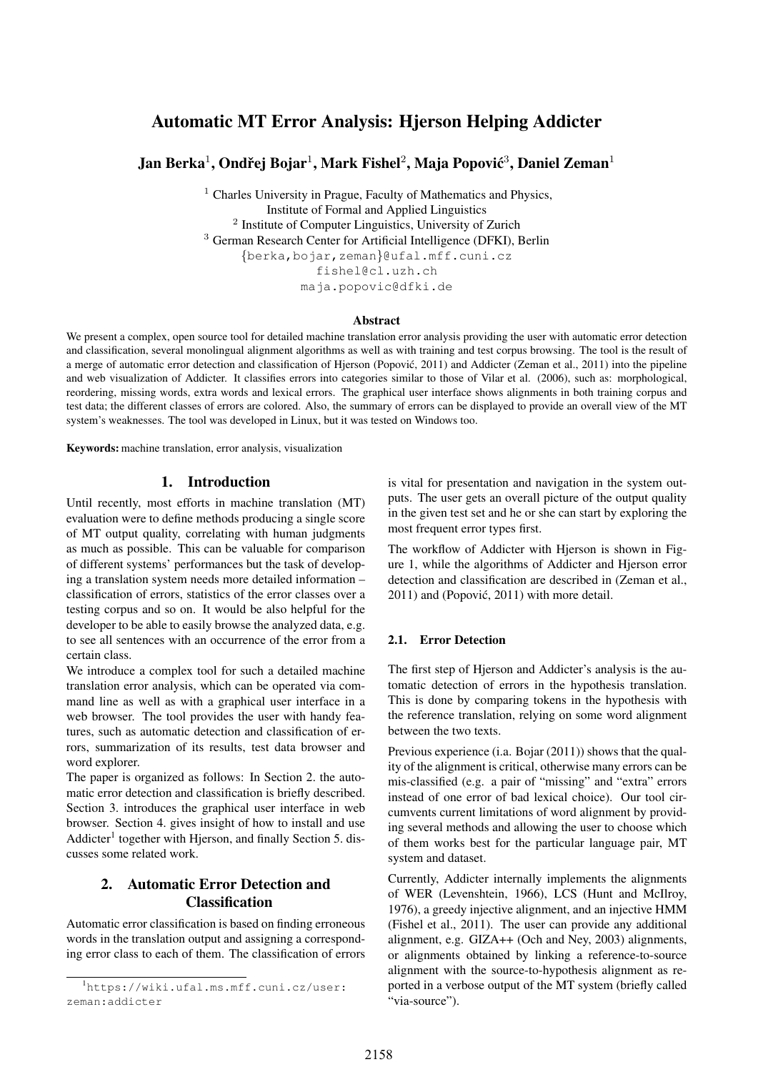# Automatic MT Error Analysis: Hjerson Helping Addicter

# Jan Berka $^1$ , Ondřej Bojar $^1$ , Mark Fishel $^2$ , Maja Popović $^3$ , Daniel Zeman $^1$

 $<sup>1</sup>$  Charles University in Prague, Faculty of Mathematics and Physics,</sup> Institute of Formal and Applied Linguistics 2 Institute of Computer Linguistics, University of Zurich <sup>3</sup> German Research Center for Artificial Intelligence (DFKI), Berlin {berka,bojar,zeman}@ufal.mff.cuni.cz fishel@cl.uzh.ch maja.popovic@dfki.de

#### Abstract

We present a complex, open source tool for detailed machine translation error analysis providing the user with automatic error detection and classification, several monolingual alignment algorithms as well as with training and test corpus browsing. The tool is the result of a merge of automatic error detection and classification of Hjerson (Popović, 2011) and Addicter (Zeman et al., 2011) into the pipeline and web visualization of Addicter. It classifies errors into categories similar to those of Vilar et al. (2006), such as: morphological, reordering, missing words, extra words and lexical errors. The graphical user interface shows alignments in both training corpus and test data; the different classes of errors are colored. Also, the summary of errors can be displayed to provide an overall view of the MT system's weaknesses. The tool was developed in Linux, but it was tested on Windows too.

Keywords: machine translation, error analysis, visualization

### 1. Introduction

Until recently, most efforts in machine translation (MT) evaluation were to define methods producing a single score of MT output quality, correlating with human judgments as much as possible. This can be valuable for comparison of different systems' performances but the task of developing a translation system needs more detailed information – classification of errors, statistics of the error classes over a testing corpus and so on. It would be also helpful for the developer to be able to easily browse the analyzed data, e.g. to see all sentences with an occurrence of the error from a certain class.

We introduce a complex tool for such a detailed machine translation error analysis, which can be operated via command line as well as with a graphical user interface in a web browser. The tool provides the user with handy features, such as automatic detection and classification of errors, summarization of its results, test data browser and word explorer.

The paper is organized as follows: In Section 2. the automatic error detection and classification is briefly described. Section 3. introduces the graphical user interface in web browser. Section 4. gives insight of how to install and use Addicter<sup>1</sup> together with Hjerson, and finally Section 5. discusses some related work.

# 2. Automatic Error Detection and Classification

Automatic error classification is based on finding erroneous words in the translation output and assigning a corresponding error class to each of them. The classification of errors

is vital for presentation and navigation in the system outputs. The user gets an overall picture of the output quality in the given test set and he or she can start by exploring the most frequent error types first.

The workflow of Addicter with Hjerson is shown in Figure 1, while the algorithms of Addicter and Hjerson error detection and classification are described in (Zeman et al., 2011) and (Popović, 2011) with more detail.

#### 2.1. Error Detection

The first step of Hjerson and Addicter's analysis is the automatic detection of errors in the hypothesis translation. This is done by comparing tokens in the hypothesis with the reference translation, relying on some word alignment between the two texts.

Previous experience (i.a. Bojar (2011)) shows that the quality of the alignment is critical, otherwise many errors can be mis-classified (e.g. a pair of "missing" and "extra" errors instead of one error of bad lexical choice). Our tool circumvents current limitations of word alignment by providing several methods and allowing the user to choose which of them works best for the particular language pair, MT system and dataset.

Currently, Addicter internally implements the alignments of WER (Levenshtein, 1966), LCS (Hunt and McIlroy, 1976), a greedy injective alignment, and an injective HMM (Fishel et al., 2011). The user can provide any additional alignment, e.g. GIZA++ (Och and Ney, 2003) alignments, or alignments obtained by linking a reference-to-source alignment with the source-to-hypothesis alignment as reported in a verbose output of the MT system (briefly called "via-source").

<sup>1</sup>https://wiki.ufal.ms.mff.cuni.cz/user: zeman:addicter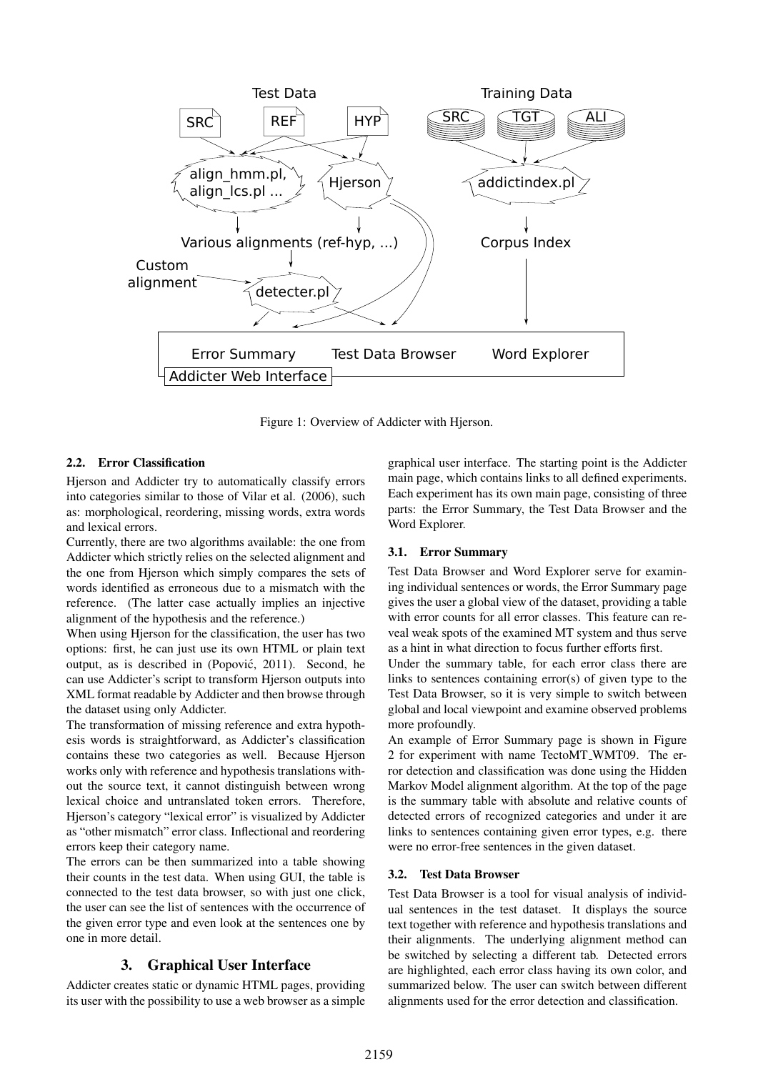

Figure 1: Overview of Addicter with Hjerson.

#### 2.2. Error Classification

Hjerson and Addicter try to automatically classify errors into categories similar to those of Vilar et al. (2006), such as: morphological, reordering, missing words, extra words and lexical errors.

Currently, there are two algorithms available: the one from Addicter which strictly relies on the selected alignment and the one from Hjerson which simply compares the sets of words identified as erroneous due to a mismatch with the reference. (The latter case actually implies an injective alignment of the hypothesis and the reference.)

When using Hjerson for the classification, the user has two options: first, he can just use its own HTML or plain text output, as is described in (Popovic, 2011). Second, he ´ can use Addicter's script to transform Hjerson outputs into XML format readable by Addicter and then browse through the dataset using only Addicter.

The transformation of missing reference and extra hypothesis words is straightforward, as Addicter's classification contains these two categories as well. Because Hjerson works only with reference and hypothesis translations without the source text, it cannot distinguish between wrong lexical choice and untranslated token errors. Therefore, Hjerson's category "lexical error" is visualized by Addicter as "other mismatch" error class. Inflectional and reordering errors keep their category name.

The errors can be then summarized into a table showing their counts in the test data. When using GUI, the table is connected to the test data browser, so with just one click, the user can see the list of sentences with the occurrence of the given error type and even look at the sentences one by one in more detail.

### 3. Graphical User Interface

Addicter creates static or dynamic HTML pages, providing its user with the possibility to use a web browser as a simple graphical user interface. The starting point is the Addicter main page, which contains links to all defined experiments. Each experiment has its own main page, consisting of three parts: the Error Summary, the Test Data Browser and the Word Explorer.

#### 3.1. Error Summary

Test Data Browser and Word Explorer serve for examining individual sentences or words, the Error Summary page gives the user a global view of the dataset, providing a table with error counts for all error classes. This feature can reveal weak spots of the examined MT system and thus serve as a hint in what direction to focus further efforts first.

Under the summary table, for each error class there are links to sentences containing error(s) of given type to the Test Data Browser, so it is very simple to switch between global and local viewpoint and examine observed problems more profoundly.

An example of Error Summary page is shown in Figure 2 for experiment with name TectoMT WMT09. The error detection and classification was done using the Hidden Markov Model alignment algorithm. At the top of the page is the summary table with absolute and relative counts of detected errors of recognized categories and under it are links to sentences containing given error types, e.g. there were no error-free sentences in the given dataset.

#### 3.2. Test Data Browser

Test Data Browser is a tool for visual analysis of individual sentences in the test dataset. It displays the source text together with reference and hypothesis translations and their alignments. The underlying alignment method can be switched by selecting a different tab. Detected errors are highlighted, each error class having its own color, and summarized below. The user can switch between different alignments used for the error detection and classification.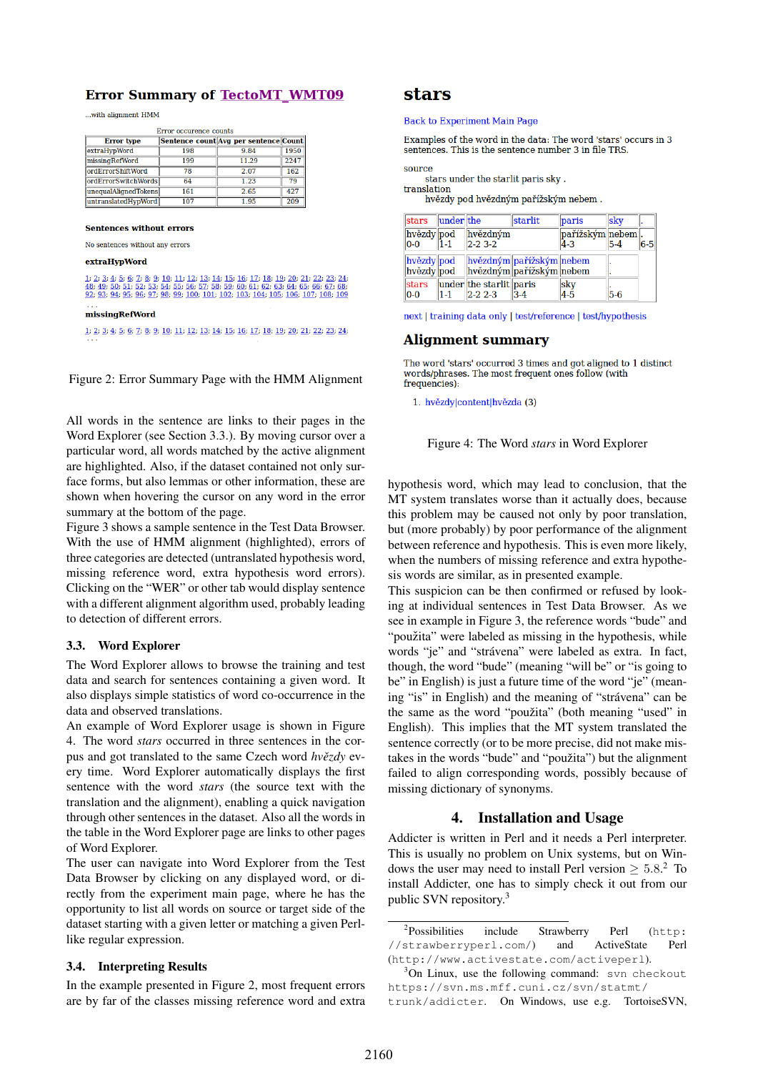## **Error Summary of TectoMT WMT09**

...with alignment HMM

| Error occurence counts    |     |                                       |            |  |  |  |  |  |
|---------------------------|-----|---------------------------------------|------------|--|--|--|--|--|
| <b>Error</b> type         |     | Sentence count Avg per sentence Count |            |  |  |  |  |  |
| extraHypWord              | 198 | 9.84                                  | 1950       |  |  |  |  |  |
| missingRefWord            | 199 | 11.29                                 | 2247       |  |  |  |  |  |
| <b>lordErrorShiftWord</b> | 78  | 2.07                                  | 162        |  |  |  |  |  |
| ordErrorSwitchWords       | 64  | 1.23                                  | 79         |  |  |  |  |  |
| unequalAlignedTokens      | 161 | 2.65                                  | 427        |  |  |  |  |  |
| untranslatedHypWord       | 107 | 1.95                                  | <b>209</b> |  |  |  |  |  |

#### **Sentences without errors**

No sentences without any errors

#### extraHypWord

| 1; 2; 3; 4; 5; 6; 7; 8; 9; 10; 11; 12; 13; 14; 15; 16; 17; 18; 19; 20; 21; 22; 23; 24;<br>48, 49, 50, 51, 52, 53, 54, 55, 56, 57, 58, 59, 60, 61, 62, 63, 64, 65, 66, 67, 68,<br>92: 93: 94: 95: 96: 97: 98: 99: 100: 101: 102: 103: 104: 105: 106: 107: 108: 109 |
|-------------------------------------------------------------------------------------------------------------------------------------------------------------------------------------------------------------------------------------------------------------------|
| missingRefWord                                                                                                                                                                                                                                                    |
| 1; 2; 3; 4; 5; 6; 7; 8; 9; 10; 11; 12; 13; 14; 15; 16; 17; 18; 19; 20; 21; 22; 23; 24;                                                                                                                                                                            |

Figure 2: Error Summary Page with the HMM Alignment

All words in the sentence are links to their pages in the Word Explorer (see Section 3.3.). By moving cursor over a particular word, all words matched by the active alignment are highlighted. Also, if the dataset contained not only surface forms, but also lemmas or other information, these are shown when hovering the cursor on any word in the error summary at the bottom of the page.

Figure 3 shows a sample sentence in the Test Data Browser. With the use of HMM alignment (highlighted), errors of three categories are detected (untranslated hypothesis word, missing reference word, extra hypothesis word errors). Clicking on the "WER" or other tab would display sentence with a different alignment algorithm used, probably leading to detection of different errors.

#### 3.3. Word Explorer

The Word Explorer allows to browse the training and test data and search for sentences containing a given word. It also displays simple statistics of word co-occurrence in the data and observed translations.

An example of Word Explorer usage is shown in Figure 4. The word *stars* occurred in three sentences in the corpus and got translated to the same Czech word  $h\nu \check{e}zdy$  every time. Word Explorer automatically displays the first sentence with the word *stars* (the source text with the translation and the alignment), enabling a quick navigation through other sentences in the dataset. Also all the words in the table in the Word Explorer page are links to other pages of Word Explorer.

The user can navigate into Word Explorer from the Test Data Browser by clicking on any displayed word, or directly from the experiment main page, where he has the opportunity to list all words on source or target side of the dataset starting with a given letter or matching a given Perllike regular expression.

#### 3.4. Interpreting Results

In the example presented in Figure 2, most frequent errors are by far of the classes missing reference word and extra

## **stars**

#### **Back to Experiment Main Page**

Examples of the word in the data: The word 'stars' occurs in 3 sentences. This is the sentence number 3 in file TRS.

source

stars under the starlit paris sky. translation

hvězdy pod hvězdným pařížským nebem.

| stars                    | under the |                                        | starlit                                              | paris                       | <b>skv</b> |       |
|--------------------------|-----------|----------------------------------------|------------------------------------------------------|-----------------------------|------------|-------|
| hvězdy pod<br>$ 0-0 $    | $1 - 1$   | hvězdným<br>$2-23-2$                   |                                                      | pařížským nebem.<br>$4 - 3$ | $5 - 4$    | $6-5$ |
| hvězdy pod<br>hvězdy pod |           |                                        | hvězdným pařížským nebem<br>hvězdným pařížským nebem |                             |            |       |
| stars<br>$ 0-0 $         | $1 - 1$   | under the starlit paris<br>$2 - 2 - 3$ | $3-4$                                                | sky<br>$4-5$                | $5-6$      |       |

next | training data only | test/reference | test/hypothesis

#### **Alignment summary**

The word 'stars' occurred 3 times and got aligned to 1 distinct words/phrases. The most frequent ones follow (with frequencies):

1. hvězdy content hvězda (3)

Figure 4: The Word *stars* in Word Explorer

hypothesis word, which may lead to conclusion, that the MT system translates worse than it actually does, because this problem may be caused not only by poor translation, but (more probably) by poor performance of the alignment between reference and hypothesis. This is even more likely, when the numbers of missing reference and extra hypothesis words are similar, as in presented example.

This suspicion can be then confirmed or refused by looking at individual sentences in Test Data Browser. As we see in example in Figure 3, the reference words "bude" and "použita" were labeled as missing in the hypothesis, while words "je" and "strávena" were labeled as extra. In fact, though, the word "bude" (meaning "will be" or "is going to be" in English) is just a future time of the word "je" (meaning "is" in English) and the meaning of "strávena" can be the same as the word "použita" (both meaning "used" in English). This implies that the MT system translated the sentence correctly (or to be more precise, did not make mistakes in the words "bude" and "použita") but the alignment failed to align corresponding words, possibly because of missing dictionary of synonyms.

## 4. Installation and Usage

Addicter is written in Perl and it needs a Perl interpreter. This is usually no problem on Unix systems, but on Windows the user may need to install Perl version  $\geq 5.8$ .<sup>2</sup> To install Addicter, one has to simply check it out from our public SVN repository.<sup>3</sup>

 ${}^{2}$ Possibilities include Strawberry Perl (http: //strawberryperl.com/) and ActiveState Perl (http://www.activestate.com/activeperl).

 $3$ On Linux, use the following command: svn checkout https://svn.ms.mff.cuni.cz/svn/statmt/ trunk/addicter. On Windows, use e.g. TortoiseSVN,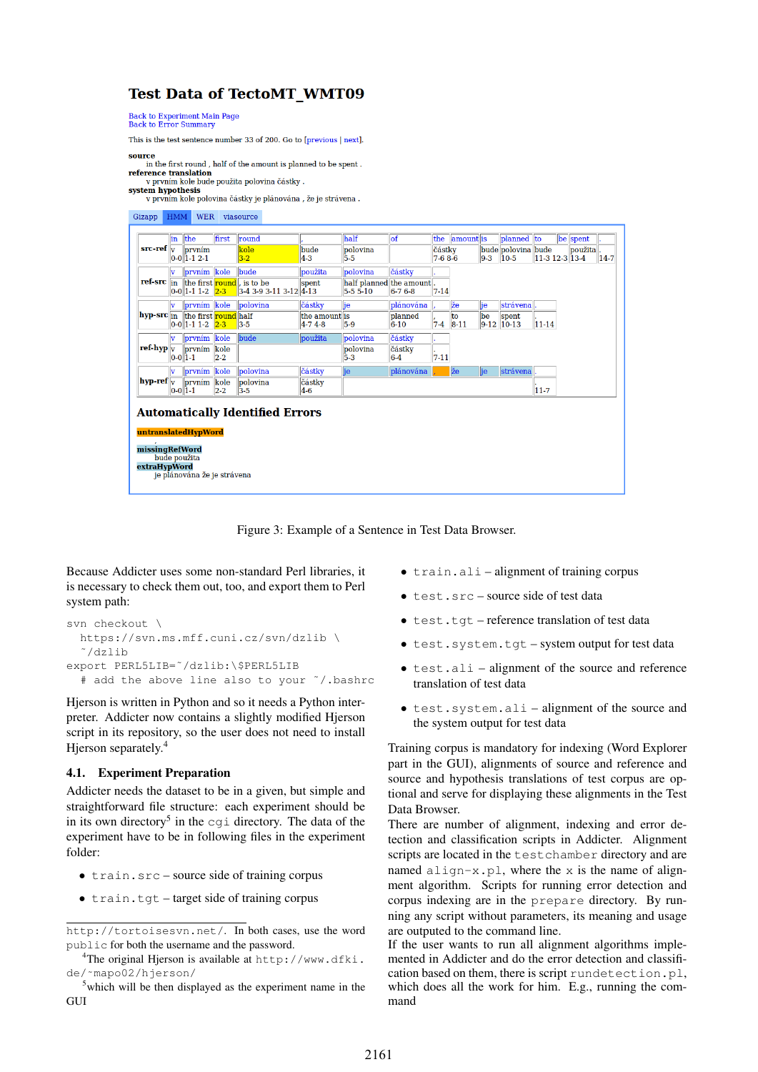# **Test Data of TectoMT WMT09**

Back to Experiment Main Page<br>Back to Error Summary

This is the test sentence number 33 of 200. Go to [previous | next]

source in the first round, half of the amount is planned to be spent.

reference translation v prvním kole bude použita polovina částky<br>system hypothesis

v prvním kole polovina částky je plánována , že je strávena .



Figure 3: Example of a Sentence in Test Data Browser.

Because Addicter uses some non-standard Perl libraries, it is necessary to check them out, too, and export them to Perl system path:

```
svn checkout \
 https://svn.ms.mff.cuni.cz/svn/dzlib \
  ˜/dzlib
export PERL5LIB=˜/dzlib:\$PERL5LIB
  # add the above line also to your ˜/.bashrc
```
Hjerson is written in Python and so it needs a Python interpreter. Addicter now contains a slightly modified Hjerson script in its repository, so the user does not need to install Hjerson separately.<sup>4</sup>

### 4.1. Experiment Preparation

Addicter needs the dataset to be in a given, but simple and straightforward file structure: each experiment should be in its own directory<sup>5</sup> in the cgi directory. The data of the experiment have to be in following files in the experiment folder:

- train.src source side of training corpus
- train.tgt target side of training corpus
- train.ali alignment of training corpus
- test.src source side of test data
- test.tgt reference translation of test data
- test.system.tgt system output for test data
- test.ali alignment of the source and reference translation of test data
- test.system.ali alignment of the source and the system output for test data

Training corpus is mandatory for indexing (Word Explorer part in the GUI), alignments of source and reference and source and hypothesis translations of test corpus are optional and serve for displaying these alignments in the Test Data Browser.

There are number of alignment, indexing and error detection and classification scripts in Addicter. Alignment scripts are located in the testchamber directory and are named align-x.pl, where the x is the name of alignment algorithm. Scripts for running error detection and corpus indexing are in the prepare directory. By running any script without parameters, its meaning and usage are outputed to the command line.

If the user wants to run all alignment algorithms implemented in Addicter and do the error detection and classification based on them, there is script rundetection.pl, which does all the work for him. E.g., running the command

http://tortoisesvn.net/. In both cases, use the word public for both the username and the password.

<sup>4</sup>The original Hjerson is available at http://www.dfki. de/˜mapo02/hjerson/

<sup>&</sup>lt;sup>5</sup>which will be then displayed as the experiment name in the **GUI**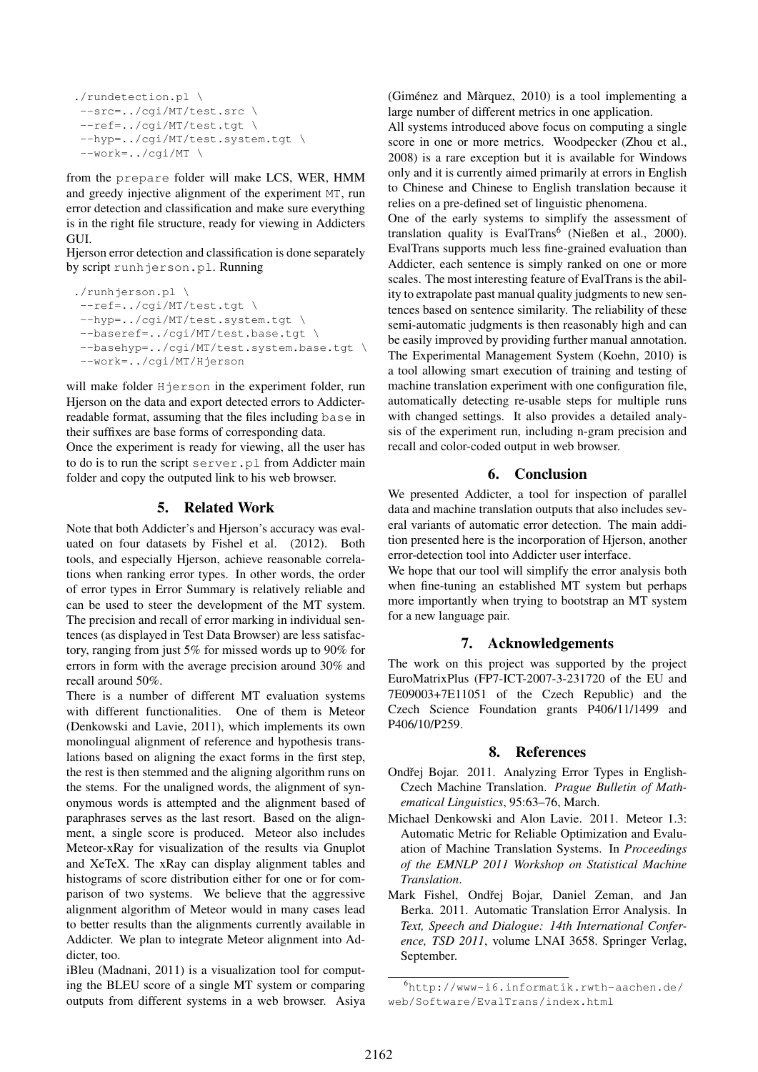```
./rundetection.pl \
 --src=../cgi/MT/test.src \
 --ref=../cgi/MT/test.tgt \
--hyp=../cgi/MT/test.system.tgt \
 --work=../cgi/MT \
```
from the prepare folder will make LCS, WER, HMM and greedy injective alignment of the experiment MT, run error detection and classification and make sure everything is in the right file structure, ready for viewing in Addicters GUI.

Hjerson error detection and classification is done separately by script runhjerson.pl. Running

```
./runhjerson.pl \
--ref=../cgi/MT/test.tgt \
--hyp=../cgi/MT/test.system.tgt \
--baseref=../cgi/MT/test.base.tgt \
--basehyp=../cgi/MT/test.system.base.tgt \
--work=../cgi/MT/Hjerson
```
will make folder Hjerson in the experiment folder, run Hjerson on the data and export detected errors to Addicterreadable format, assuming that the files including base in their suffixes are base forms of corresponding data.

Once the experiment is ready for viewing, all the user has to do is to run the script server.pl from Addicter main folder and copy the outputed link to his web browser.

### 5. Related Work

Note that both Addicter's and Hjerson's accuracy was evaluated on four datasets by Fishel et al. (2012). Both tools, and especially Hjerson, achieve reasonable correlations when ranking error types. In other words, the order of error types in Error Summary is relatively reliable and can be used to steer the development of the MT system. The precision and recall of error marking in individual sentences (as displayed in Test Data Browser) are less satisfactory, ranging from just 5% for missed words up to 90% for errors in form with the average precision around 30% and recall around 50%.

There is a number of different MT evaluation systems with different functionalities. One of them is Meteor (Denkowski and Lavie, 2011), which implements its own monolingual alignment of reference and hypothesis translations based on aligning the exact forms in the first step, the rest is then stemmed and the aligning algorithm runs on the stems. For the unaligned words, the alignment of synonymous words is attempted and the alignment based of paraphrases serves as the last resort. Based on the alignment, a single score is produced. Meteor also includes Meteor-xRay for visualization of the results via Gnuplot and XeTeX. The xRay can display alignment tables and histograms of score distribution either for one or for comparison of two systems. We believe that the aggressive alignment algorithm of Meteor would in many cases lead to better results than the alignments currently available in Addicter. We plan to integrate Meteor alignment into Addicter, too.

iBleu (Madnani, 2011) is a visualization tool for computing the BLEU score of a single MT system or comparing outputs from different systems in a web browser. Asiya (Giménez and Màrquez,  $2010$ ) is a tool implementing a large number of different metrics in one application.

All systems introduced above focus on computing a single score in one or more metrics. Woodpecker (Zhou et al., 2008) is a rare exception but it is available for Windows only and it is currently aimed primarily at errors in English to Chinese and Chinese to English translation because it relies on a pre-defined set of linguistic phenomena.

One of the early systems to simplify the assessment of translation quality is EvalTrans<sup>6</sup> (Nießen et al., 2000). EvalTrans supports much less fine-grained evaluation than Addicter, each sentence is simply ranked on one or more scales. The most interesting feature of EvalTrans is the ability to extrapolate past manual quality judgments to new sentences based on sentence similarity. The reliability of these semi-automatic judgments is then reasonably high and can be easily improved by providing further manual annotation. The Experimental Management System (Koehn, 2010) is a tool allowing smart execution of training and testing of machine translation experiment with one configuration file, automatically detecting re-usable steps for multiple runs with changed settings. It also provides a detailed analysis of the experiment run, including n-gram precision and recall and color-coded output in web browser.

### 6. Conclusion

We presented Addicter, a tool for inspection of parallel data and machine translation outputs that also includes several variants of automatic error detection. The main addition presented here is the incorporation of Hjerson, another error-detection tool into Addicter user interface.

We hope that our tool will simplify the error analysis both when fine-tuning an established MT system but perhaps more importantly when trying to bootstrap an MT system for a new language pair.

## 7. Acknowledgements

The work on this project was supported by the project EuroMatrixPlus (FP7-ICT-2007-3-231720 of the EU and 7E09003+7E11051 of the Czech Republic) and the Czech Science Foundation grants P406/11/1499 and P406/10/P259.

### 8. References

- Ondřej Bojar. 2011. Analyzing Error Types in English-Czech Machine Translation. *Prague Bulletin of Mathematical Linguistics*, 95:63–76, March.
- Michael Denkowski and Alon Lavie. 2011. Meteor 1.3: Automatic Metric for Reliable Optimization and Evaluation of Machine Translation Systems. In *Proceedings of the EMNLP 2011 Workshop on Statistical Machine Translation*.
- Mark Fishel, Ondřej Bojar, Daniel Zeman, and Jan Berka. 2011. Automatic Translation Error Analysis. In *Text, Speech and Dialogue: 14th International Conference, TSD 2011*, volume LNAI 3658. Springer Verlag, September.

<sup>6</sup>http://www-i6.informatik.rwth-aachen.de/ web/Software/EvalTrans/index.html